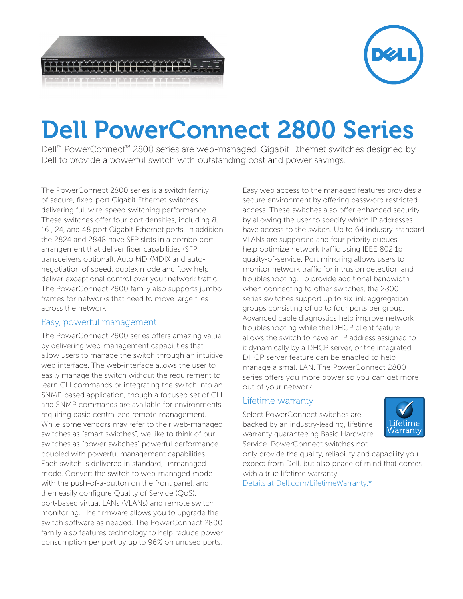

## Dell PowerConnect 2800 Series

Dell™ PowerConnect™ 2800 series are web-managed, Gigabit Ethernet switches designed by Dell to provide a powerful switch with outstanding cost and power savings.

The PowerConnect 2800 series is a switch family of secure, fixed-port Gigabit Ethernet switches delivering full wire-speed switching performance. These switches offer four port densities, including 8, 16 , 24, and 48 port Gigabit Ethernet ports. In addition the 2824 and 2848 have SFP slots in a combo port arrangement that deliver fiber capabilities (SFP transceivers optional). Auto MDI/MDIX and autonegotiation of speed, duplex mode and flow help deliver exceptional control over your network traffic. The PowerConnect 2800 family also supports jumbo frames for networks that need to move large files across the network.

## Easy, powerful management

The PowerConnect 2800 series offers amazing value by delivering web-management capabilities that allow users to manage the switch through an intuitive web interface. The web-interface allows the user to easily manage the switch without the requirement to learn CLI commands or integrating the switch into an SNMP-based application, though a focused set of CLI and SNMP commands are available for environments requiring basic centralized remote management. While some vendors may refer to their web-managed switches as "smart switches", we like to think of our switches as "power switches" powerful performance coupled with powerful management capabilities. Each switch is delivered in standard, unmanaged mode. Convert the switch to web-managed mode with the push-of-a-button on the front panel, and then easily configure Quality of Service (QoS), port-based virtual LANs (VLANs) and remote switch monitoring. The firmware allows you to upgrade the switch software as needed. The PowerConnect 2800 family also features technology to help reduce power consumption per port by up to 96% on unused ports.

Easy web access to the managed features provides a secure environment by offering password restricted access. These switches also offer enhanced security by allowing the user to specify which IP addresses have access to the switch. Up to 64 industry-standard VLANs are supported and four priority queues help optimize network traffic using IEEE 802.1p quality-of-service. Port mirroring allows users to monitor network traffic for intrusion detection and troubleshooting. To provide additional bandwidth when connecting to other switches, the 2800 series switches support up to six link aggregation groups consisting of up to four ports per group. Advanced cable diagnostics help improve network troubleshooting while the DHCP client feature allows the switch to have an IP address assigned to it dynamically by a DHCP server, or the integrated DHCP server feature can be enabled to help manage a small LAN. The PowerConnect 2800 series offers you more power so you can get more out of your network!

## Lifetime warranty

Select PowerConnect switches are backed by an industry-leading, lifetime warranty guaranteeing Basic Hardware Service. PowerConnect switches not



only provide the quality, reliability and capability you expect from Dell, but also peace of mind that comes with a true lifetime warranty.

Details at Dell.com/LifetimeWarranty.\*